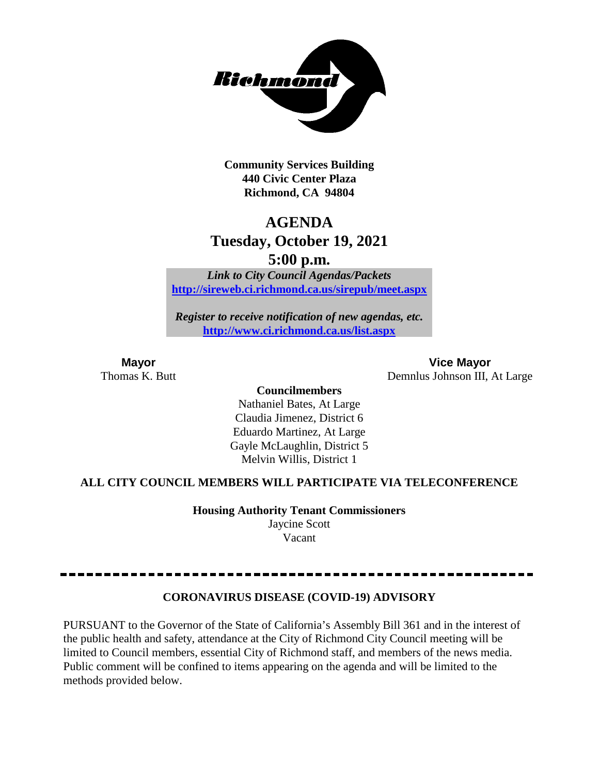

**Community Services Building 440 Civic Center Plaza Richmond, CA 94804**

## **AGENDA Tuesday, October 19, 2021**

**5:00 p.m.**

*Link to City Council Agendas/Packets* **<http://sireweb.ci.richmond.ca.us/sirepub/meet.aspx>**

*Register to receive notification of new agendas, etc.* **<http://www.ci.richmond.ca.us/list.aspx>**

**Mayor Vice Mayor** Thomas K. Butt Demnlus Johnson III, At Large

> **Councilmembers** Nathaniel Bates, At Large Claudia Jimenez, District 6 Eduardo Martinez, At Large

Gayle McLaughlin, District 5 Melvin Willis, District 1

## **ALL CITY COUNCIL MEMBERS WILL PARTICIPATE VIA TELECONFERENCE**

**Housing Authority Tenant Commissioners** Jaycine Scott

Vacant

## **CORONAVIRUS DISEASE (COVID-19) ADVISORY**

PURSUANT to the Governor of the State of California's Assembly Bill 361 and in the interest of the public health and safety, attendance at the City of Richmond City Council meeting will be limited to Council members, essential City of Richmond staff, and members of the news media. Public comment will be confined to items appearing on the agenda and will be limited to the methods provided below.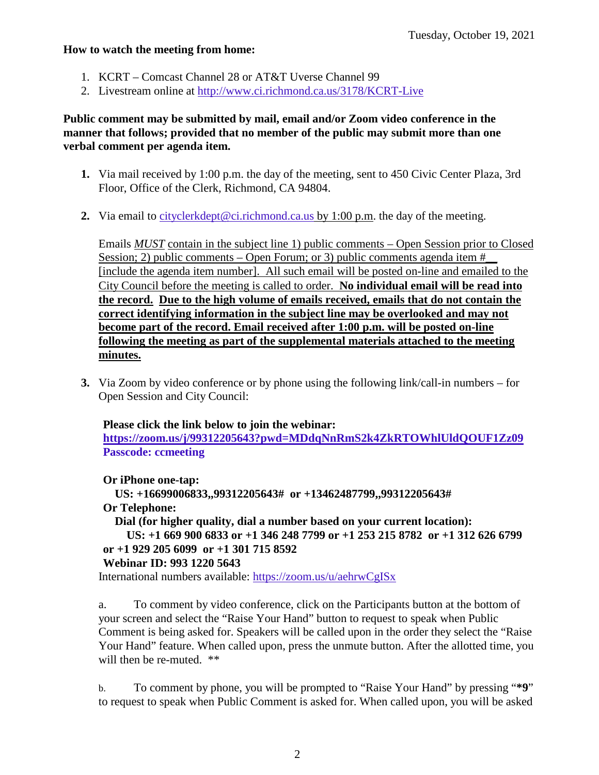#### **How to watch the meeting from home:**

- 1. KCRT Comcast Channel 28 or AT&T Uverse Channel 99
- 2. Livestream online at<http://www.ci.richmond.ca.us/3178/KCRT-Live>

## **Public comment may be submitted by mail, email and/or Zoom video conference in the manner that follows; provided that no member of the public may submit more than one verbal comment per agenda item.**

- **1.** Via mail received by 1:00 p.m. the day of the meeting, sent to 450 Civic Center Plaza, 3rd Floor, Office of the Clerk, Richmond, CA 94804.
- **2.** Via email to [cityclerkdept@ci.richmond.ca.us](mailto:cityclerkdept@ci.richmond.ca.us) by 1:00 p.m. the day of the meeting.

Emails *MUST* contain in the subject line 1) public comments – Open Session prior to Closed Session; 2) public comments – Open Forum; or 3) public comments agenda item  $#$ [include the agenda item number]. All such email will be posted on-line and emailed to the City Council before the meeting is called to order. **No individual email will be read into the record. Due to the high volume of emails received, emails that do not contain the correct identifying information in the subject line may be overlooked and may not become part of the record. Email received after 1:00 p.m. will be posted on-line following the meeting as part of the supplemental materials attached to the meeting minutes.**

**3.** Via Zoom by video conference or by phone using the following link/call-in numbers – for Open Session and City Council:

### **Please click the link below to join the webinar:**

**<https://zoom.us/j/99312205643?pwd=MDdqNnRmS2k4ZkRTOWhlUldQOUF1Zz09> Passcode: ccmeeting**

**Or iPhone one-tap:**

**US: +16699006833,,99312205643# or +13462487799,,99312205643# Or Telephone: Dial (for higher quality, dial a number based on your current location):**

```
US: +1 669 900 6833 or +1 346 248 7799 or +1 253 215 8782 or +1 312 626 6799
```
## **or +1 929 205 6099 or +1 301 715 8592**

## **Webinar ID: 993 1220 5643**

International numbers available: <https://zoom.us/u/aehrwCgISx>

a. To comment by video conference, click on the Participants button at the bottom of your screen and select the "Raise Your Hand" button to request to speak when Public Comment is being asked for. Speakers will be called upon in the order they select the "Raise Your Hand" feature. When called upon, press the unmute button. After the allotted time, you will then be re-muted. \*\*

b. To comment by phone, you will be prompted to "Raise Your Hand" by pressing "**\*9**" to request to speak when Public Comment is asked for. When called upon, you will be asked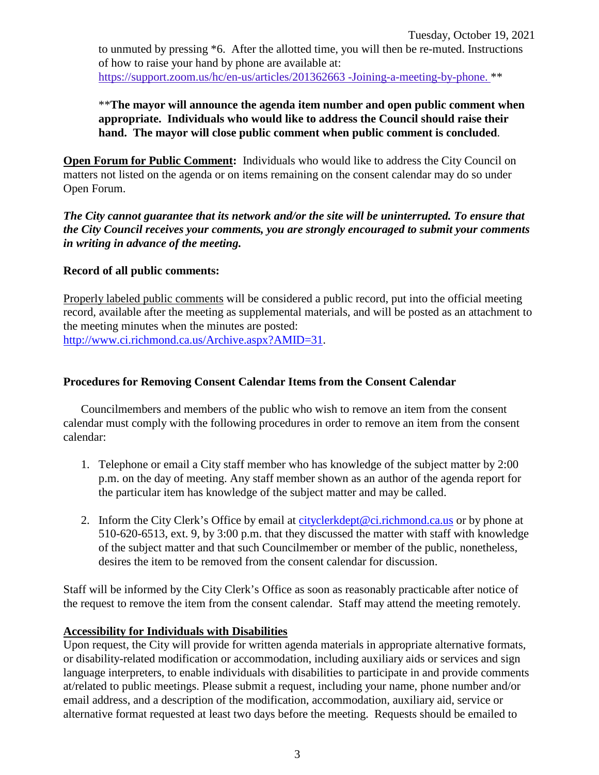to unmuted by pressing \*6. After the allotted time, you will then be re-muted. Instructions of how to raise your hand by phone are available at: [https://support.zoom.us/hc/en-us/articles/201362663 -Joining-a-meeting-by-phone.](https://support.zoom.us/hc/en-us/articles/201362663) \*\*

\*\***The mayor will announce the agenda item number and open public comment when appropriate. Individuals who would like to address the Council should raise their hand. The mayor will close public comment when public comment is concluded**.

**Open Forum for Public Comment:** Individuals who would like to address the City Council on matters not listed on the agenda or on items remaining on the consent calendar may do so under Open Forum.

*The City cannot guarantee that its network and/or the site will be uninterrupted. To ensure that the City Council receives your comments, you are strongly encouraged to submit your comments in writing in advance of the meeting.* 

## **Record of all public comments:**

Properly labeled public comments will be considered a public record, put into the official meeting record, available after the meeting as supplemental materials, and will be posted as an attachment to the meeting minutes when the minutes are posted: [http://www.ci.richmond.ca.us/Archive.aspx?AMID=31.](http://www.ci.richmond.ca.us/Archive.aspx?AMID=31)

## **Procedures for Removing Consent Calendar Items from the Consent Calendar**

Councilmembers and members of the public who wish to remove an item from the consent calendar must comply with the following procedures in order to remove an item from the consent calendar:

- 1. Telephone or email a City staff member who has knowledge of the subject matter by 2:00 p.m. on the day of meeting. Any staff member shown as an author of the agenda report for the particular item has knowledge of the subject matter and may be called.
- 2. Inform the City Clerk's Office by email at [cityclerkdept@ci.richmond.ca.us](mailto:cityclerkdept@ci.richmond.ca.us) or by phone at 510-620-6513, ext. 9, by 3:00 p.m. that they discussed the matter with staff with knowledge of the subject matter and that such Councilmember or member of the public, nonetheless, desires the item to be removed from the consent calendar for discussion.

Staff will be informed by the City Clerk's Office as soon as reasonably practicable after notice of the request to remove the item from the consent calendar. Staff may attend the meeting remotely.

## **Accessibility for Individuals with Disabilities**

Upon request, the City will provide for written agenda materials in appropriate alternative formats, or disability-related modification or accommodation, including auxiliary aids or services and sign language interpreters, to enable individuals with disabilities to participate in and provide comments at/related to public meetings. Please submit a request, including your name, phone number and/or email address, and a description of the modification, accommodation, auxiliary aid, service or alternative format requested at least two days before the meeting. Requests should be emailed to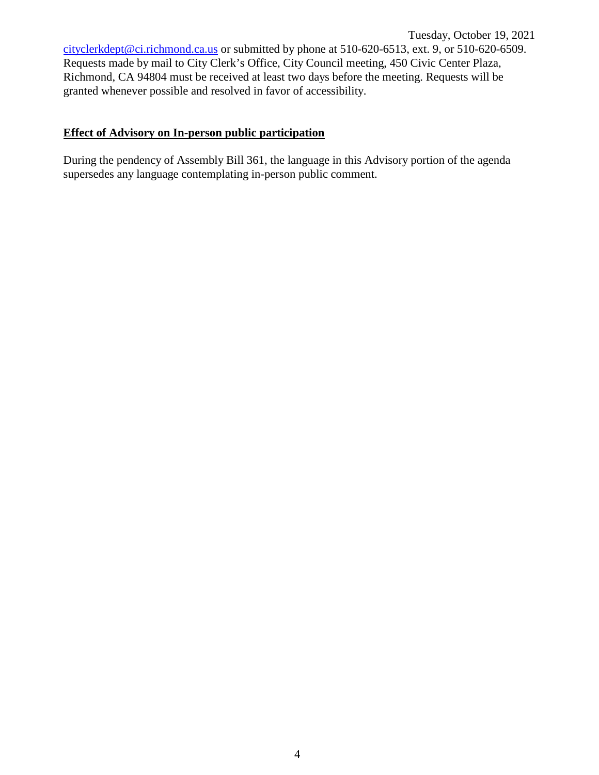Tuesday, October 19, 2021 [cityclerkdept@ci.richmond.ca.us](mailto:cityclerkdept@ci.richmond.ca.us) or submitted by phone at 510-620-6513, ext. 9, or 510-620-6509. Requests made by mail to City Clerk's Office, City Council meeting, 450 Civic Center Plaza, Richmond, CA 94804 must be received at least two days before the meeting. Requests will be granted whenever possible and resolved in favor of accessibility.

## **Effect of Advisory on In-person public participation**

During the pendency of Assembly Bill 361, the language in this Advisory portion of the agenda supersedes any language contemplating in-person public comment.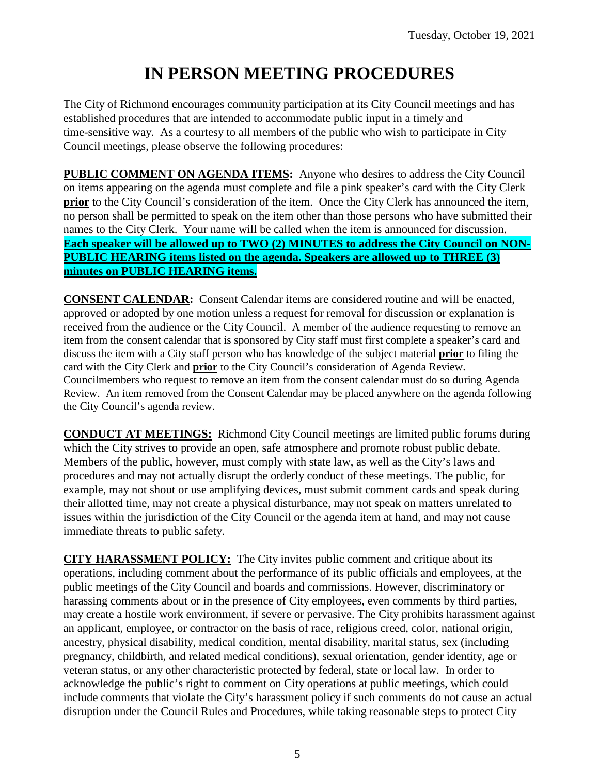# **IN PERSON MEETING PROCEDURES**

The City of Richmond encourages community participation at its City Council meetings and has established procedures that are intended to accommodate public input in a timely and time-sensitive way. As a courtesy to all members of the public who wish to participate in City Council meetings, please observe the following procedures:

**PUBLIC COMMENT ON AGENDA ITEMS:** Anyone who desires to address the City Council on items appearing on the agenda must complete and file a pink speaker's card with the City Clerk **prior** to the City Council's consideration of the item. Once the City Clerk has announced the item, no person shall be permitted to speak on the item other than those persons who have submitted their names to the City Clerk. Your name will be called when the item is announced for discussion. **Each speaker will be allowed up to TWO (2) MINUTES to address the City Council on NON-PUBLIC HEARING items listed on the agenda. Speakers are allowed up to THREE (3) minutes on PUBLIC HEARING items.**

**CONSENT CALENDAR:** Consent Calendar items are considered routine and will be enacted, approved or adopted by one motion unless a request for removal for discussion or explanation is received from the audience or the City Council. A member of the audience requesting to remove an item from the consent calendar that is sponsored by City staff must first complete a speaker's card and discuss the item with a City staff person who has knowledge of the subject material **prior** to filing the card with the City Clerk and **prior** to the City Council's consideration of Agenda Review. Councilmembers who request to remove an item from the consent calendar must do so during Agenda Review. An item removed from the Consent Calendar may be placed anywhere on the agenda following the City Council's agenda review.

**CONDUCT AT MEETINGS:** Richmond City Council meetings are limited public forums during which the City strives to provide an open, safe atmosphere and promote robust public debate. Members of the public, however, must comply with state law, as well as the City's laws and procedures and may not actually disrupt the orderly conduct of these meetings. The public, for example, may not shout or use amplifying devices, must submit comment cards and speak during their allotted time, may not create a physical disturbance, may not speak on matters unrelated to issues within the jurisdiction of the City Council or the agenda item at hand, and may not cause immediate threats to public safety.

**CITY HARASSMENT POLICY:** The City invites public comment and critique about its operations, including comment about the performance of its public officials and employees, at the public meetings of the City Council and boards and commissions. However, discriminatory or harassing comments about or in the presence of City employees, even comments by third parties, may create a hostile work environment, if severe or pervasive. The City prohibits harassment against an applicant, employee, or contractor on the basis of race, religious creed, color, national origin, ancestry, physical disability, medical condition, mental disability, marital status, sex (including pregnancy, childbirth, and related medical conditions), sexual orientation, gender identity, age or veteran status, or any other characteristic protected by federal, state or local law. In order to acknowledge the public's right to comment on City operations at public meetings, which could include comments that violate the City's harassment policy if such comments do not cause an actual disruption under the Council Rules and Procedures, while taking reasonable steps to protect City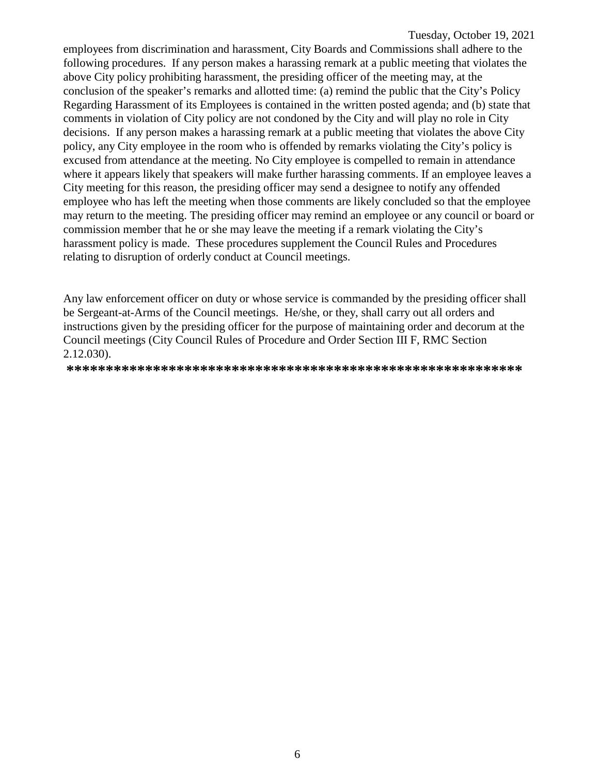employees from discrimination and harassment, City Boards and Commissions shall adhere to the following procedures. If any person makes a harassing remark at a public meeting that violates the above City policy prohibiting harassment, the presiding officer of the meeting may, at the conclusion of the speaker's remarks and allotted time: (a) remind the public that the City's Policy Regarding Harassment of its Employees is contained in the written posted agenda; and (b) state that comments in violation of City policy are not condoned by the City and will play no role in City decisions. If any person makes a harassing remark at a public meeting that violates the above City policy, any City employee in the room who is offended by remarks violating the City's policy is excused from attendance at the meeting. No City employee is compelled to remain in attendance where it appears likely that speakers will make further harassing comments. If an employee leaves a City meeting for this reason, the presiding officer may send a designee to notify any offended employee who has left the meeting when those comments are likely concluded so that the employee may return to the meeting. The presiding officer may remind an employee or any council or board or commission member that he or she may leave the meeting if a remark violating the City's harassment policy is made. These procedures supplement the Council Rules and Procedures relating to disruption of orderly conduct at Council meetings.

Any law enforcement officer on duty or whose service is commanded by the presiding officer shall be Sergeant-at-Arms of the Council meetings. He/she, or they, shall carry out all orders and instructions given by the presiding officer for the purpose of maintaining order and decorum at the Council meetings (City Council Rules of Procedure and Order Section III F, RMC Section 2.12.030).

**\*\*\*\*\*\*\*\*\*\*\*\*\*\*\*\*\*\*\*\*\*\*\*\*\*\*\*\*\*\*\*\*\*\*\*\*\*\*\*\*\*\*\*\*\*\*\*\*\*\*\*\*\*\*\*\*\*\***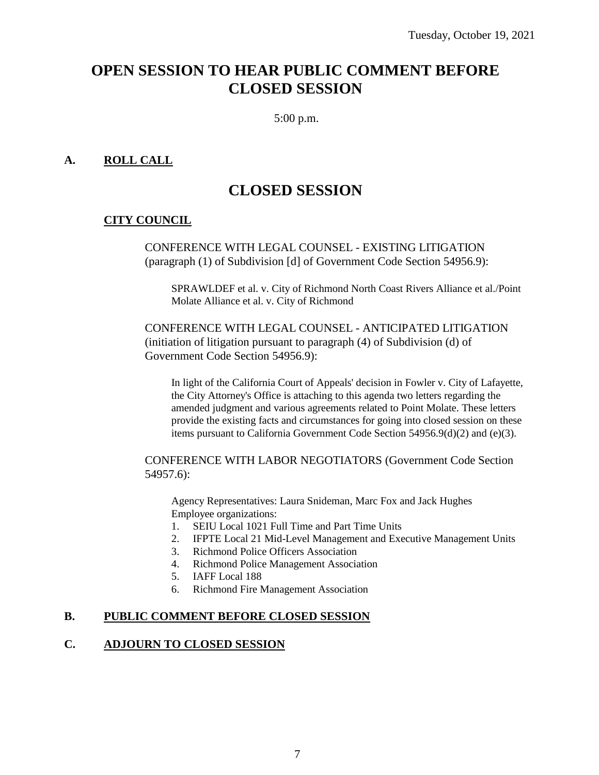## **OPEN SESSION TO HEAR PUBLIC COMMENT BEFORE CLOSED SESSION**

5:00 p.m.

## **A. ROLL CALL**

## **CLOSED SESSION**

## **CITY COUNCIL**

CONFERENCE WITH LEGAL COUNSEL - EXISTING LITIGATION (paragraph (1) of Subdivision [d] of Government Code Section 54956.9):

SPRAWLDEF et al. v. City of Richmond North Coast Rivers Alliance et al./Point Molate Alliance et al. v. City of Richmond

CONFERENCE WITH LEGAL COUNSEL - ANTICIPATED LITIGATION (initiation of litigation pursuant to paragraph (4) of Subdivision (d) of Government Code Section 54956.9):

In light of the California Court of Appeals' decision in Fowler v. City of Lafayette, the City Attorney's Office is attaching to this agenda two letters regarding the amended judgment and various agreements related to Point Molate. These letters provide the existing facts and circumstances for going into closed session on these items pursuant to California Government Code Section 54956.9(d)(2) and (e)(3).

CONFERENCE WITH LABOR NEGOTIATORS (Government Code Section 54957.6):

Agency Representatives: Laura Snideman, Marc Fox and Jack Hughes Employee organizations:

- 1. SEIU Local 1021 Full Time and Part Time Units
- 2. IFPTE Local 21 Mid-Level Management and Executive Management Units
- 3. Richmond Police Officers Association
- 4. Richmond Police Management Association
- 5. IAFF Local 188
- 6. Richmond Fire Management Association

## **B. PUBLIC COMMENT BEFORE CLOSED SESSION**

### **C. ADJOURN TO CLOSED SESSION**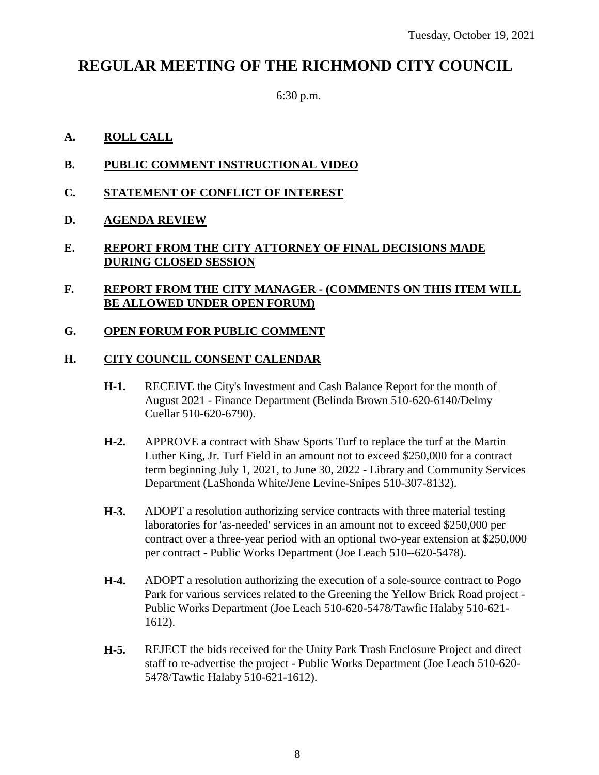## **REGULAR MEETING OF THE RICHMOND CITY COUNCIL**

6:30 p.m.

## **A. ROLL CALL**

- **B. PUBLIC COMMENT INSTRUCTIONAL VIDEO**
- **C. STATEMENT OF CONFLICT OF INTEREST**
- **D. AGENDA REVIEW**

## **E. REPORT FROM THE CITY ATTORNEY OF FINAL DECISIONS MADE DURING CLOSED SESSION**

## **F. REPORT FROM THE CITY MANAGER - (COMMENTS ON THIS ITEM WILL BE ALLOWED UNDER OPEN FORUM)**

## **G. OPEN FORUM FOR PUBLIC COMMENT**

## **H. CITY COUNCIL CONSENT CALENDAR**

- **H-1.** RECEIVE the City's Investment and Cash Balance Report for the month of August 2021 - Finance Department (Belinda Brown 510-620-6140/Delmy Cuellar 510-620-6790).
- **H-2.** APPROVE a contract with Shaw Sports Turf to replace the turf at the Martin Luther King, Jr. Turf Field in an amount not to exceed \$250,000 for a contract term beginning July 1, 2021, to June 30, 2022 - Library and Community Services Department (LaShonda White/Jene Levine-Snipes 510-307-8132).
- **H-3.** ADOPT a resolution authorizing service contracts with three material testing laboratories for 'as-needed' services in an amount not to exceed \$250,000 per contract over a three-year period with an optional two-year extension at \$250,000 per contract - Public Works Department (Joe Leach 510--620-5478).
- **H-4.** ADOPT a resolution authorizing the execution of a sole-source contract to Pogo Park for various services related to the Greening the Yellow Brick Road project - Public Works Department (Joe Leach 510-620-5478/Tawfic Halaby 510-621- 1612).
- **H-5.** REJECT the bids received for the Unity Park Trash Enclosure Project and direct staff to re-advertise the project - Public Works Department (Joe Leach 510-620- 5478/Tawfic Halaby 510-621-1612).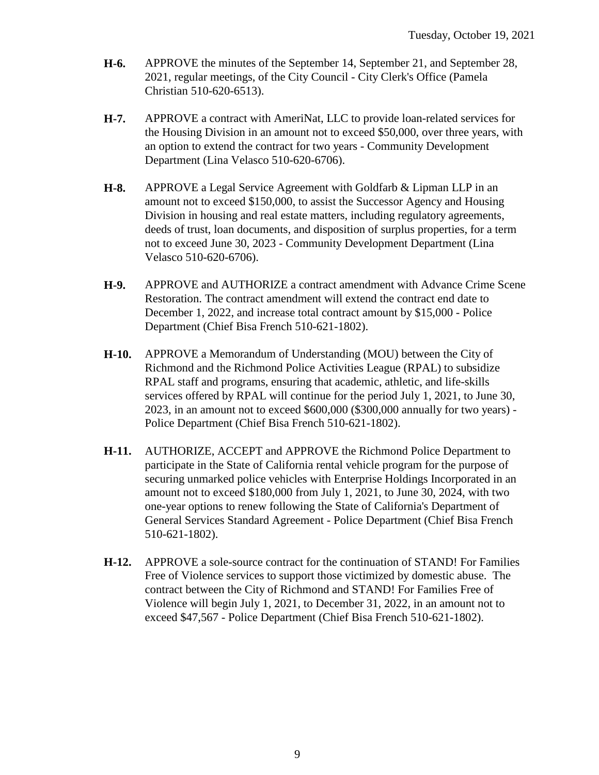- **H-6.** APPROVE the minutes of the September 14, September 21, and September 28, 2021, regular meetings, of the City Council - City Clerk's Office (Pamela Christian 510-620-6513).
- **H-7.** APPROVE a contract with AmeriNat, LLC to provide loan-related services for the Housing Division in an amount not to exceed \$50,000, over three years, with an option to extend the contract for two years - Community Development Department (Lina Velasco 510-620-6706).
- **H-8.** APPROVE a Legal Service Agreement with Goldfarb & Lipman LLP in an amount not to exceed \$150,000, to assist the Successor Agency and Housing Division in housing and real estate matters, including regulatory agreements, deeds of trust, loan documents, and disposition of surplus properties, for a term not to exceed June 30, 2023 - Community Development Department (Lina Velasco 510-620-6706).
- **H-9.** APPROVE and AUTHORIZE a contract amendment with Advance Crime Scene Restoration. The contract amendment will extend the contract end date to December 1, 2022, and increase total contract amount by \$15,000 - Police Department (Chief Bisa French 510-621-1802).
- **H-10.** APPROVE a Memorandum of Understanding (MOU) between the City of Richmond and the Richmond Police Activities League (RPAL) to subsidize RPAL staff and programs, ensuring that academic, athletic, and life-skills services offered by RPAL will continue for the period July 1, 2021, to June 30, 2023, in an amount not to exceed \$600,000 (\$300,000 annually for two years) - Police Department (Chief Bisa French 510-621-1802).
- **H-11.** AUTHORIZE, ACCEPT and APPROVE the Richmond Police Department to participate in the State of California rental vehicle program for the purpose of securing unmarked police vehicles with Enterprise Holdings Incorporated in an amount not to exceed \$180,000 from July 1, 2021, to June 30, 2024, with two one-year options to renew following the State of California's Department of General Services Standard Agreement - Police Department (Chief Bisa French 510-621-1802).
- **H-12.** APPROVE a sole-source contract for the continuation of STAND! For Families Free of Violence services to support those victimized by domestic abuse. The contract between the City of Richmond and STAND! For Families Free of Violence will begin July 1, 2021, to December 31, 2022, in an amount not to exceed \$47,567 - Police Department (Chief Bisa French 510-621-1802).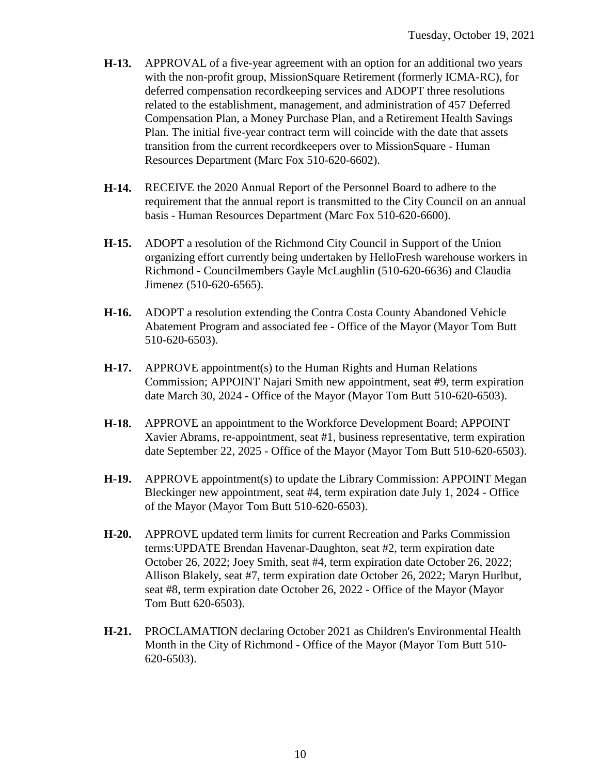- **H-13.** APPROVAL of a five-year agreement with an option for an additional two years with the non-profit group, MissionSquare Retirement (formerly ICMA-RC), for deferred compensation recordkeeping services and ADOPT three resolutions related to the establishment, management, and administration of 457 Deferred Compensation Plan, a Money Purchase Plan, and a Retirement Health Savings Plan. The initial five-year contract term will coincide with the date that assets transition from the current recordkeepers over to MissionSquare - Human Resources Department (Marc Fox 510-620-6602).
- **H-14.** RECEIVE the 2020 Annual Report of the Personnel Board to adhere to the requirement that the annual report is transmitted to the City Council on an annual basis - Human Resources Department (Marc Fox 510-620-6600).
- **H-15.** ADOPT a resolution of the Richmond City Council in Support of the Union organizing effort currently being undertaken by HelloFresh warehouse workers in Richmond - Councilmembers Gayle McLaughlin (510-620-6636) and Claudia Jimenez (510-620-6565).
- **H-16.** ADOPT a resolution extending the Contra Costa County Abandoned Vehicle Abatement Program and associated fee - Office of the Mayor (Mayor Tom Butt 510-620-6503).
- **H-17.** APPROVE appointment(s) to the Human Rights and Human Relations Commission; APPOINT Najari Smith new appointment, seat #9, term expiration date March 30, 2024 - Office of the Mayor (Mayor Tom Butt 510-620-6503).
- **H-18.** APPROVE an appointment to the Workforce Development Board; APPOINT Xavier Abrams, re-appointment, seat #1, business representative, term expiration date September 22, 2025 - Office of the Mayor (Mayor Tom Butt 510-620-6503).
- **H-19.** APPROVE appointment(s) to update the Library Commission: APPOINT Megan Bleckinger new appointment, seat #4, term expiration date July 1, 2024 - Office of the Mayor (Mayor Tom Butt 510-620-6503).
- **H-20.** APPROVE updated term limits for current Recreation and Parks Commission terms:UPDATE Brendan Havenar-Daughton, seat #2, term expiration date October 26, 2022; Joey Smith, seat #4, term expiration date October 26, 2022; Allison Blakely, seat #7, term expiration date October 26, 2022; Maryn Hurlbut, seat #8, term expiration date October 26, 2022 - Office of the Mayor (Mayor Tom Butt 620-6503).
- **H-21.** PROCLAMATION declaring October 2021 as Children's Environmental Health Month in the City of Richmond - Office of the Mayor (Mayor Tom Butt 510- 620-6503).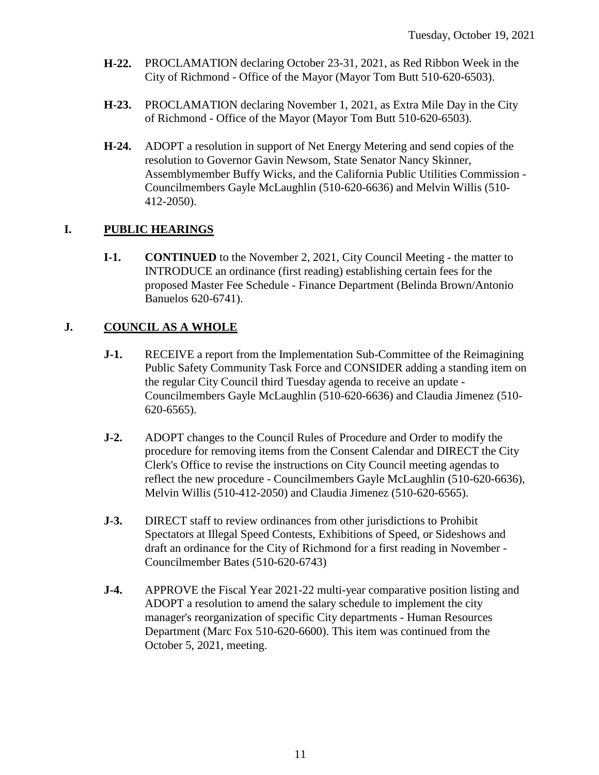- **H-22.** PROCLAMATION declaring October 23-31, 2021, as Red Ribbon Week in the City of Richmond - Office of the Mayor (Mayor Tom Butt 510-620-6503).
- **H-23.** PROCLAMATION declaring November 1, 2021, as Extra Mile Day in the City of Richmond - Office of the Mayor (Mayor Tom Butt 510-620-6503).
- **H-24.** ADOPT a resolution in support of Net Energy Metering and send copies of the resolution to Governor Gavin Newsom, State Senator Nancy Skinner, Assemblymember Buffy Wicks, and the California Public Utilities Commission - Councilmembers Gayle McLaughlin (510-620-6636) and Melvin Willis (510- 412-2050).

## **I. PUBLIC HEARINGS**

**I-1. CONTINUED** to the November 2, 2021, City Council Meeting - the matter to INTRODUCE an ordinance (first reading) establishing certain fees for the proposed Master Fee Schedule - Finance Department (Belinda Brown/Antonio Banuelos 620-6741).

## **J. COUNCIL AS A WHOLE**

- **J-1.** RECEIVE a report from the Implementation Sub-Committee of the Reimagining Public Safety Community Task Force and CONSIDER adding a standing item on the regular City Council third Tuesday agenda to receive an update - Councilmembers Gayle McLaughlin (510-620-6636) and Claudia Jimenez (510- 620-6565).
- **J-2.** ADOPT changes to the Council Rules of Procedure and Order to modify the procedure for removing items from the Consent Calendar and DIRECT the City Clerk's Office to revise the instructions on City Council meeting agendas to reflect the new procedure - Councilmembers Gayle McLaughlin (510-620-6636), Melvin Willis (510-412-2050) and Claudia Jimenez (510-620-6565).
- **J-3.** DIRECT staff to review ordinances from other jurisdictions to Prohibit Spectators at Illegal Speed Contests, Exhibitions of Speed, or Sideshows and draft an ordinance for the City of Richmond for a first reading in November - Councilmember Bates (510-620-6743)
- **J-4.** APPROVE the Fiscal Year 2021-22 multi-year comparative position listing and ADOPT a resolution to amend the salary schedule to implement the city manager's reorganization of specific City departments - Human Resources Department (Marc Fox 510-620-6600). This item was continued from the October 5, 2021, meeting.